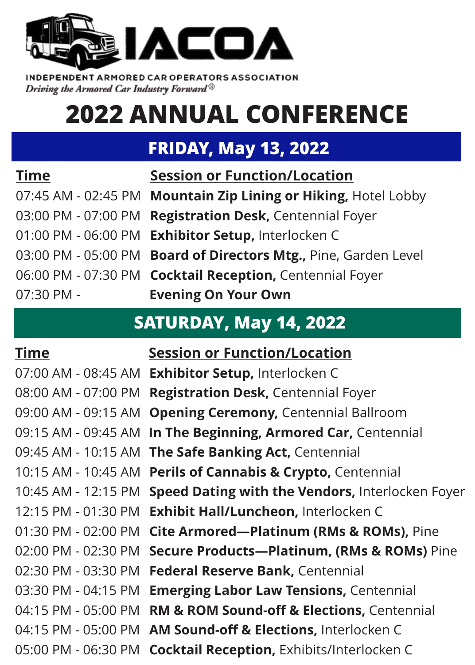

INDEPENDENT ARMORED CAR OPERATORS ASSOCIATION Driving the Armored Car Industry Forward®

# **2022 ANNUAL CONFERENCE**

# **FRIDAY, May 13, 2022**

### **Time Session or Function/Location**

07:30 PM - **Evening On Your Own**

07:45 AM - 02:45 PM **Mountain Zip Lining or Hiking,** Hotel Lobby 03:00 PM - 07:00 PM **Registration Desk,** Centennial Foyer 01:00 PM - 06:00 PM **Exhibitor Setup,** Interlocken C 03:00 PM - 05:00 PM **Board of Directors Mtg.,** Pine, Garden Level 06:00 PM - 07:30 PM **Cocktail Reception,** Centennial Foyer

## **SATURDAY, May 14, 2022**

**Time Session or Function/Location**  07:00 AM - 08:45 AM **Exhibitor Setup,** Interlocken C 08:00 AM - 07:00 PM **Registration Desk,** Centennial Foyer 09:00 AM - 09:15 AM **Opening Ceremony,** Centennial Ballroom 09:15 AM - 09:45 AM **In The Beginning, Armored Car,** Centennial 09:45 AM - 10:15 AM **The Safe Banking Act,** Centennial 10:15 AM - 10:45 AM **Perils of Cannabis & Crypto,** Centennial 10:45 AM - 12:15 PM **Speed Dating with the Vendors,** Interlocken Foyer 12:15 PM - 01:30 PM **Exhibit Hall/Luncheon,** Interlocken C 01:30 PM - 02:00 PM **Cite Armored—Platinum (RMs & ROMs),** Pine 02:00 PM - 02:30 PM **Secure Products—Platinum, (RMs & ROMs)** Pine 02:30 PM - 03:30 PM **Federal Reserve Bank,** Centennial 03:30 PM - 04:15 PM **Emerging Labor Law Tensions,** Centennial 04:15 PM - 05:00 PM **RM & ROM Sound-off & Elections,** Centennial 04:15 PM - 05:00 PM **AM Sound-off & Elections,** Interlocken C 05:00 PM - 06:30 PM **Cocktail Reception,** Exhibits/Interlocken C